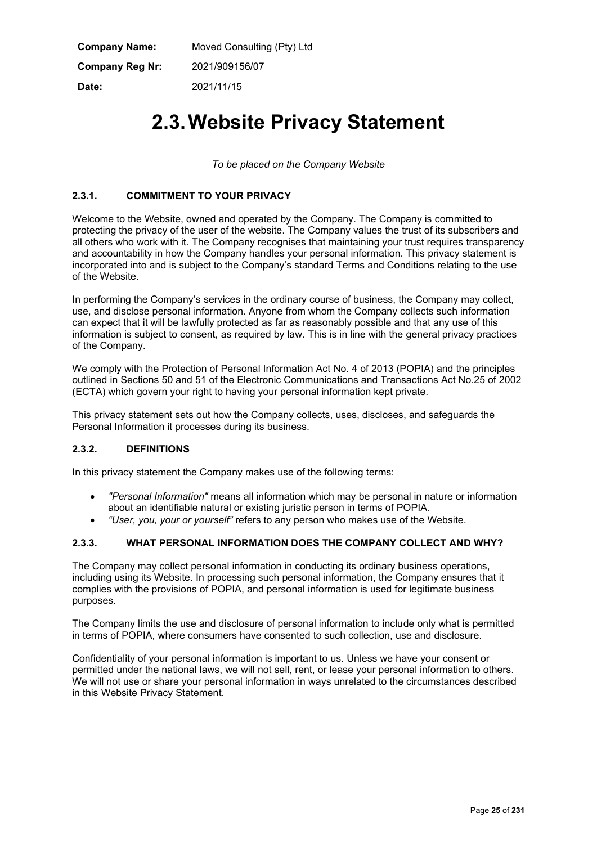| <b>Company Name:</b>   | Moved Consulting (Pty) Ltd |
|------------------------|----------------------------|
| <b>Company Reg Nr:</b> | 2021/909156/07             |
| Date:                  | 2021/11/15                 |

# **2.3.Website Privacy Statement**

*To be placed on the Company Website*

## **2.3.1. COMMITMENT TO YOUR PRIVACY**

Welcome to the Website, owned and operated by the Company. The Company is committed to protecting the privacy of the user of the website. The Company values the trust of its subscribers and all others who work with it. The Company recognises that maintaining your trust requires transparency and accountability in how the Company handles your personal information. This privacy statement is incorporated into and is subject to the Company's standard Terms and Conditions relating to the use of the Website.

In performing the Company's services in the ordinary course of business, the Company may collect, use, and disclose personal information. Anyone from whom the Company collects such information can expect that it will be lawfully protected as far as reasonably possible and that any use of this information is subject to consent, as required by law. This is in line with the general privacy practices of the Company.

We comply with the Protection of Personal Information Act No. 4 of 2013 (POPIA) and the principles outlined in Sections 50 and 51 of the Electronic Communications and Transactions Act No.25 of 2002 (ECTA) which govern your right to having your personal information kept private.

This privacy statement sets out how the Company collects, uses, discloses, and safeguards the Personal Information it processes during its business.

## **2.3.2. DEFINITIONS**

In this privacy statement the Company makes use of the following terms:

- x *"Personal Information"* means all information which may be personal in nature or information about an identifiable natural or existing juristic person in terms of POPIA.
- "User, you, your or yourself" refers to any person who makes use of the Website.

## **2.3.3. WHAT PERSONAL INFORMATION DOES THE COMPANY COLLECT AND WHY?**

The Company may collect personal information in conducting its ordinary business operations, including using its Website. In processing such personal information, the Company ensures that it complies with the provisions of POPIA, and personal information is used for legitimate business purposes.

The Company limits the use and disclosure of personal information to include only what is permitted in terms of POPIA, where consumers have consented to such collection, use and disclosure.

Confidentiality of your personal information is important to us. Unless we have your consent or permitted under the national laws, we will not sell, rent, or lease your personal information to others. We will not use or share your personal information in ways unrelated to the circumstances described in this Website Privacy Statement.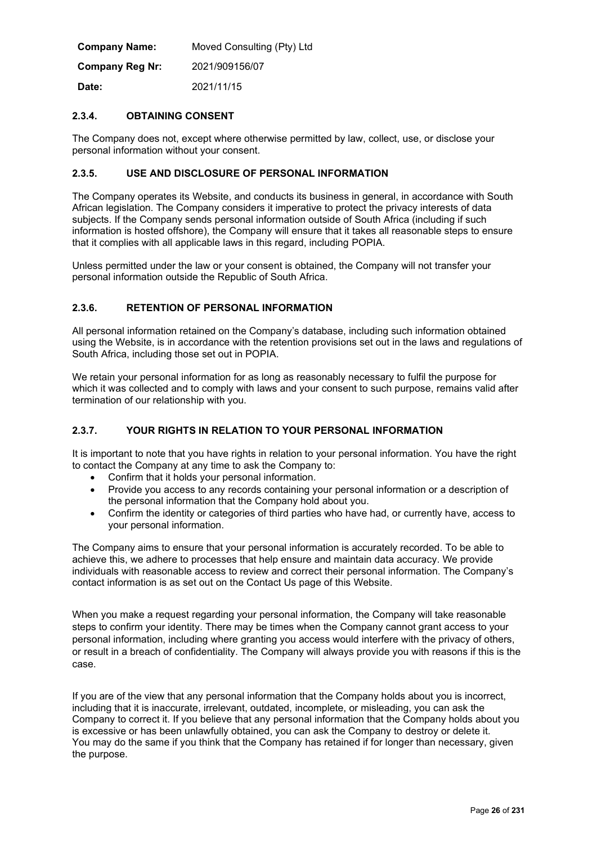| <b>Company Name:</b>   | Moved Consulting (Pty) Ltd |
|------------------------|----------------------------|
| <b>Company Reg Nr:</b> | 2021/909156/07             |
| Date:                  | 2021/11/15                 |

## **2.3.4. OBTAINING CONSENT**

The Company does not, except where otherwise permitted by law, collect, use, or disclose your personal information without your consent.

## **2.3.5. USE AND DISCLOSURE OF PERSONAL INFORMATION**

The Company operates its Website, and conducts its business in general, in accordance with South African legislation. The Company considers it imperative to protect the privacy interests of data subjects. If the Company sends personal information outside of South Africa (including if such information is hosted offshore), the Company will ensure that it takes all reasonable steps to ensure that it complies with all applicable laws in this regard, including POPIA.

Unless permitted under the law or your consent is obtained, the Company will not transfer your personal information outside the Republic of South Africa.

## **2.3.6. RETENTION OF PERSONAL INFORMATION**

All personal information retained on the Company's database, including such information obtained using the Website, is in accordance with the retention provisions set out in the laws and regulations of South Africa, including those set out in POPIA.

We retain your personal information for as long as reasonably necessary to fulfil the purpose for which it was collected and to comply with laws and your consent to such purpose, remains valid after termination of our relationship with you.

## **2.3.7. YOUR RIGHTS IN RELATION TO YOUR PERSONAL INFORMATION**

It is important to note that you have rights in relation to your personal information. You have the right to contact the Company at any time to ask the Company to:

- Confirm that it holds your personal information.
- Provide you access to any records containing your personal information or a description of the personal information that the Company hold about you.
- Confirm the identity or categories of third parties who have had, or currently have, access to your personal information.

The Company aims to ensure that your personal information is accurately recorded. To be able to achieve this, we adhere to processes that help ensure and maintain data accuracy. We provide individuals with reasonable access to review and correct their personal information. The Company's contact information is as set out on the Contact Us page of this Website.

When you make a request regarding your personal information, the Company will take reasonable steps to confirm your identity. There may be times when the Company cannot grant access to your personal information, including where granting you access would interfere with the privacy of others, or result in a breach of confidentiality. The Company will always provide you with reasons if this is the case.

If you are of the view that any personal information that the Company holds about you is incorrect, including that it is inaccurate, irrelevant, outdated, incomplete, or misleading, you can ask the Company to correct it. If you believe that any personal information that the Company holds about you is excessive or has been unlawfully obtained, you can ask the Company to destroy or delete it. You may do the same if you think that the Company has retained if for longer than necessary, given the purpose.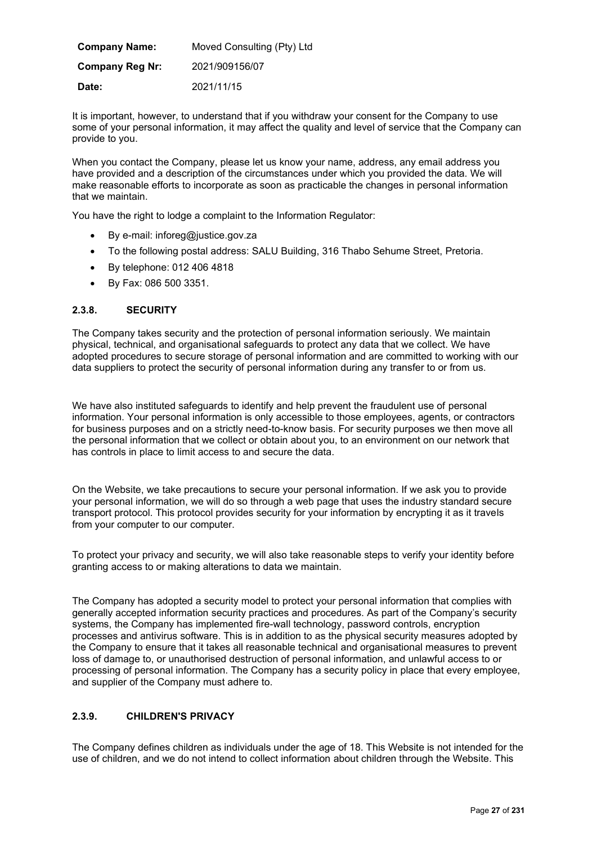| <b>Company Name:</b>   | Moved Consulting (Pty) Ltd |
|------------------------|----------------------------|
| <b>Company Reg Nr:</b> | 2021/909156/07             |
| Date:                  | 2021/11/15                 |

It is important, however, to understand that if you withdraw your consent for the Company to use some of your personal information, it may affect the quality and level of service that the Company can provide to you.

When you contact the Company, please let us know your name, address, any email address you have provided and a description of the circumstances under which you provided the data. We will make reasonable efforts to incorporate as soon as practicable the changes in personal information that we maintain.

You have the right to lodge a complaint to the Information Regulator:

- x By e-mail: inforeg@justice.gov.za
- To the following postal address: SALU Building, 316 Thabo Sehume Street, Pretoria.
- $\bullet$  By telephone: 012 406 4818
- $\bullet$  By Fax: 086 500 3351.

#### **2.3.8. SECURITY**

The Company takes security and the protection of personal information seriously. We maintain physical, technical, and organisational safeguards to protect any data that we collect. We have adopted procedures to secure storage of personal information and are committed to working with our data suppliers to protect the security of personal information during any transfer to or from us.

We have also instituted safeguards to identify and help prevent the fraudulent use of personal information. Your personal information is only accessible to those employees, agents, or contractors for business purposes and on a strictly need-to-know basis. For security purposes we then move all the personal information that we collect or obtain about you, to an environment on our network that has controls in place to limit access to and secure the data.

On the Website, we take precautions to secure your personal information. If we ask you to provide your personal information, we will do so through a web page that uses the industry standard secure transport protocol. This protocol provides security for your information by encrypting it as it travels from your computer to our computer.

To protect your privacy and security, we will also take reasonable steps to verify your identity before granting access to or making alterations to data we maintain.

The Company has adopted a security model to protect your personal information that complies with generally accepted information security practices and procedures. As part of the Company's security systems, the Company has implemented fire-wall technology, password controls, encryption processes and antivirus software. This is in addition to as the physical security measures adopted by the Company to ensure that it takes all reasonable technical and organisational measures to prevent loss of damage to, or unauthorised destruction of personal information, and unlawful access to or processing of personal information. The Company has a security policy in place that every employee, and supplier of the Company must adhere to.

## **2.3.9. CHILDREN'S PRIVACY**

The Company defines children as individuals under the age of 18. This Website is not intended for the use of children, and we do not intend to collect information about children through the Website. This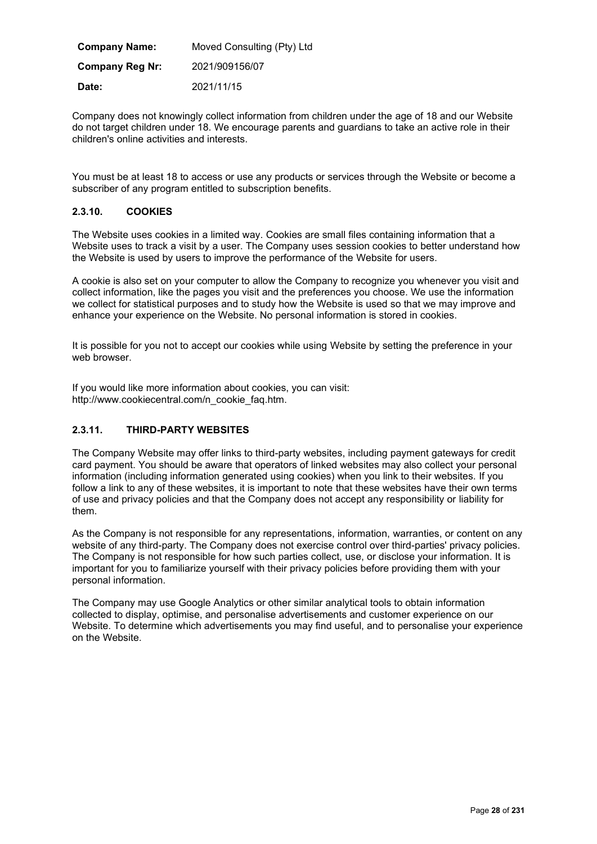| <b>Company Name:</b>   | Moved Consulting (Pty) Ltd |
|------------------------|----------------------------|
| <b>Company Reg Nr:</b> | 2021/909156/07             |
| Date:                  | 2021/11/15                 |

Company does not knowingly collect information from children under the age of 18 and our Website do not target children under 18. We encourage parents and guardians to take an active role in their children's online activities and interests.

You must be at least 18 to access or use any products or services through the Website or become a subscriber of any program entitled to subscription benefits.

## **2.3.10. COOKIES**

The Website uses cookies in a limited way. Cookies are small files containing information that a Website uses to track a visit by a user. The Company uses session cookies to better understand how the Website is used by users to improve the performance of the Website for users.

A cookie is also set on your computer to allow the Company to recognize you whenever you visit and collect information, like the pages you visit and the preferences you choose. We use the information we collect for statistical purposes and to study how the Website is used so that we may improve and enhance your experience on the Website. No personal information is stored in cookies.

It is possible for you not to accept our cookies while using Website by setting the preference in your web browser.

If you would like more information about cookies, you can visit: http://www.cookiecentral.com/n\_cookie\_faq.htm.

# **2.3.11. THIRD-PARTY WEBSITES**

The Company Website may offer links to third-party websites, including payment gateways for credit card payment. You should be aware that operators of linked websites may also collect your personal information (including information generated using cookies) when you link to their websites. If you follow a link to any of these websites, it is important to note that these websites have their own terms of use and privacy policies and that the Company does not accept any responsibility or liability for them.

As the Company is not responsible for any representations, information, warranties, or content on any website of any third-party. The Company does not exercise control over third-parties' privacy policies. The Company is not responsible for how such parties collect, use, or disclose your information. It is important for you to familiarize yourself with their privacy policies before providing them with your personal information.

The Company may use Google Analytics or other similar analytical tools to obtain information collected to display, optimise, and personalise advertisements and customer experience on our Website. To determine which advertisements you may find useful, and to personalise your experience on the Website.